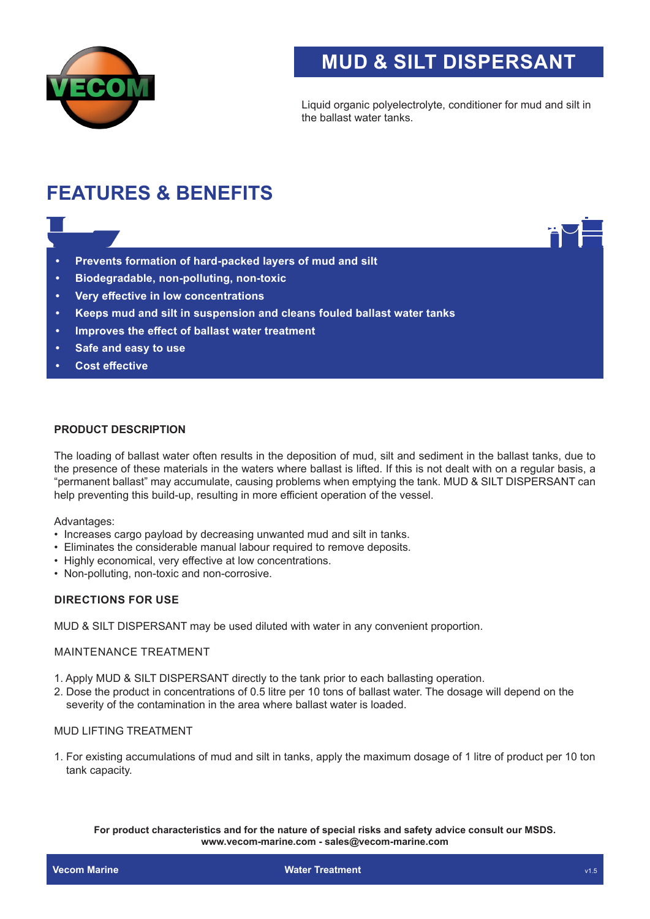

# **MUD & SILT DISPERSANT**

Liquid organic polyelectrolyte, conditioner for mud and silt in the ballast water tanks.

## **FEATURES & BENEFITS**

- **• Prevents formation of hard-packed layers of mud and silt**
- **• Biodegradable, non-polluting, non-toxic**
- **• Very effective in low concentrations**
- **• Keeps mud and silt in suspension and cleans fouled ballast water tanks**
- **• Improves the effect of ballast water treatment**
- **• Safe and easy to use**
- **• Cost effective**

### **PRODUCT DESCRIPTION**

The loading of ballast water often results in the deposition of mud, silt and sediment in the ballast tanks, due to the presence of these materials in the waters where ballast is lifted. If this is not dealt with on a regular basis, a "permanent ballast" may accumulate, causing problems when emptying the tank. MUD & SILT DISPERSANT can help preventing this build-up, resulting in more efficient operation of the vessel.

Advantages:

- Increases cargo payload by decreasing unwanted mud and silt in tanks.
- Eliminates the considerable manual labour required to remove deposits.
- Highly economical, very effective at low concentrations.
- Non-polluting, non-toxic and non-corrosive.

## **DIRECTIONS FOR USE**

MUD & SILT DISPERSANT may be used diluted with water in any convenient proportion.

#### MAINTENANCE TREATMENT

- 1. Apply MUD & SILT DISPERSANT directly to the tank prior to each ballasting operation.
- 2. Dose the product in concentrations of 0.5 litre per 10 tons of ballast water. The dosage will depend on the severity of the contamination in the area where ballast water is loaded.

#### MUD LIFTING TREATMENT

1. For existing accumulations of mud and silt in tanks, apply the maximum dosage of 1 litre of product per 10 ton tank capacity.

**For product characteristics and for the nature of special risks and safety advice consult our MSDS. www.vecom-marine.com - sales@vecom-marine.com**

**Vecom Marine Water Treatment and Water Treatment and Water Treatment and Water Treatment and Water Treatment** and Water Treatment and Water Treatment and Water Treatment and Water Treatment and Water Treatment and Water T